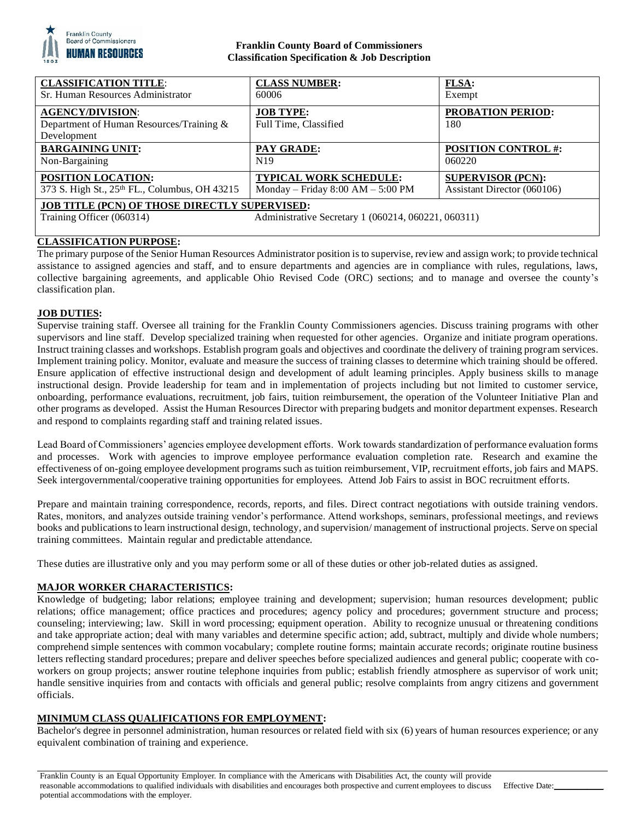

# **Franklin County Board of Commissioners Classification Specification & Job Description**

| <b>CLASSIFICATION TITLE:</b>                                                                                                             | <b>CLASS NUMBER:</b>                      | <b>FLSA:</b>                    |
|------------------------------------------------------------------------------------------------------------------------------------------|-------------------------------------------|---------------------------------|
| Sr. Human Resources Administrator                                                                                                        | 60006                                     | Exempt                          |
| <b>AGENCY/DIVISION:</b><br>Department of Human Resources/Training &<br>Development                                                       | <b>JOB TYPE:</b><br>Full Time, Classified | <b>PROBATION PERIOD:</b><br>180 |
| <b>BARGAINING UNIT:</b>                                                                                                                  | PAY GRADE:                                | <b>POSITION CONTROL #:</b>      |
| Non-Bargaining                                                                                                                           | N <sub>19</sub>                           | 060220                          |
| <b>POSITION LOCATION:</b>                                                                                                                | <b>TYPICAL WORK SCHEDULE:</b>             | <b>SUPERVISOR (PCN):</b>        |
| 373 S. High St., 25th FL., Columbus, OH 43215                                                                                            | Monday – Friday $8:00$ AM – $5:00$ PM     | Assistant Director (060106)     |
| <b>JOB TITLE (PCN) OF THOSE DIRECTLY SUPERVISED:</b><br>Training Officer (060314)<br>Administrative Secretary 1 (060214, 060221, 060311) |                                           |                                 |

# **CLASSIFICATION PURPOSE:**

The primary purpose of the Senior Human Resources Administrator position is to supervise, review and assign work; to provide technical assistance to assigned agencies and staff, and to ensure departments and agencies are in compliance with rules, regulations, laws, collective bargaining agreements, and applicable Ohio Revised Code (ORC) sections; and to manage and oversee the county's classification plan.

# **JOB DUTIES:**

Supervise training staff. Oversee all training for the Franklin County Commissioners agencies. Discuss training programs with other supervisors and line staff. Develop specialized training when requested for other agencies. Organize and initiate program operations. Instruct training classes and workshops. Establish program goals and objectives and coordinate the delivery of training program services. Implement training policy. Monitor, evaluate and measure the success of training classes to determine which training should be offered. Ensure application of effective instructional design and development of adult learning principles. Apply business skills to manage instructional design. Provide leadership for team and in implementation of projects including but not limited to customer service, onboarding, performance evaluations, recruitment, job fairs, tuition reimbursement, the operation of the Volunteer Initiative Plan and other programs as developed. Assist the Human Resources Director with preparing budgets and monitor department expenses. Research and respond to complaints regarding staff and training related issues.

Lead Board of Commissioners' agencies employee development efforts. Work towards standardization of performance evaluation forms and processes. Work with agencies to improve employee performance evaluation completion rate. Research and examine the effectiveness of on-going employee development programs such as tuition reimbursement, VIP, recruitment efforts, job fairs and MAPS. Seek intergovernmental/cooperative training opportunities for employees. Attend Job Fairs to assist in BOC recruitment efforts.

Prepare and maintain training correspondence, records, reports, and files. Direct contract negotiations with outside training vendors. Rates, monitors, and analyzes outside training vendor's performance. Attend workshops, seminars, professional meetings, and reviews books and publications to learn instructional design, technology, and supervision/ management of instructional projects. Serve on special training committees. Maintain regular and predictable attendance.

These duties are illustrative only and you may perform some or all of these duties or other job-related duties as assigned.

# **MAJOR WORKER CHARACTERISTICS:**

Knowledge of budgeting; labor relations; employee training and development; supervision; human resources development; public relations; office management; office practices and procedures; agency policy and procedures; government structure and process; counseling; interviewing; law. Skill in word processing; equipment operation. Ability to recognize unusual or threatening conditions and take appropriate action; deal with many variables and determine specific action; add, subtract, multiply and divide whole numbers; comprehend simple sentences with common vocabulary; complete routine forms; maintain accurate records; originate routine business letters reflecting standard procedures; prepare and deliver speeches before specialized audiences and general public; cooperate with coworkers on group projects; answer routine telephone inquiries from public; establish friendly atmosphere as supervisor of work unit; handle sensitive inquiries from and contacts with officials and general public; resolve complaints from angry citizens and government officials.

# **MINIMUM CLASS QUALIFICATIONS FOR EMPLOYMENT:**

Bachelor's degree in personnel administration, human resources or related field with six (6) years of human resources experience; or any equivalent combination of training and experience.

Franklin County is an Equal Opportunity Employer. In compliance with the Americans with Disabilities Act, the county will provide reasonable accommodations to qualified individuals with disabilities and encourages both prospective and current employees to discuss potential accommodations with the employer. Effective Date: